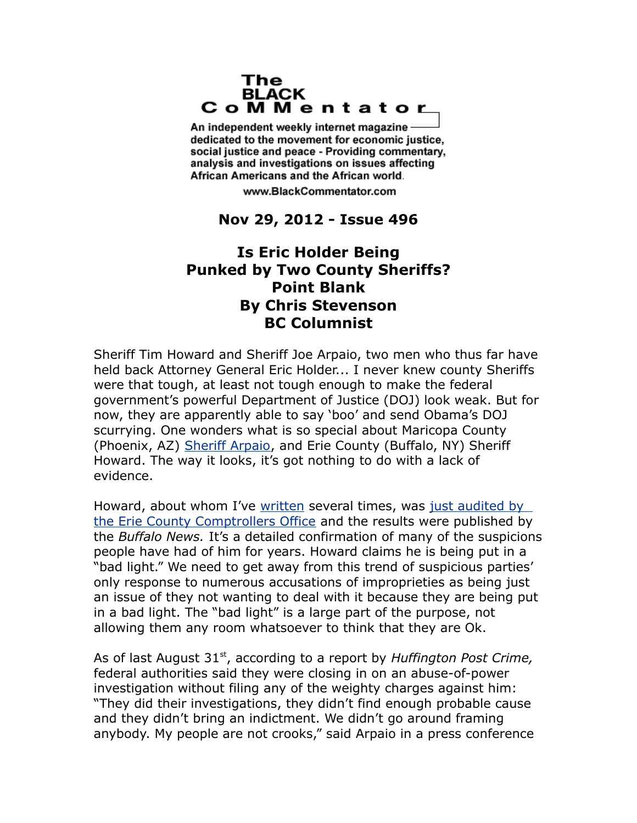## The **BLACK** CoMMentator

An independent weekly internet magazine dedicated to the movement for economic justice. social justice and peace - Providing commentary, analysis and investigations on issues affecting African Americans and the African world.

www.BlackCommentator.com

## **Nov 29, 2012 - Issue 496**

## **Is Eric Holder Being Punked by Two County Sheriffs? Point Blank By Chris Stevenson BC Columnist**

Sheriff Tim Howard and Sheriff Joe Arpaio, two men who thus far have held back Attorney General Eric Holder... I never knew county Sheriffs were that tough, at least not tough enough to make the federal government's powerful Department of Justice (DOJ) look weak. But for now, they are apparently able to say 'boo' and send Obama's DOJ scurrying. One wonders what is so special about Maricopa County (Phoenix, AZ) [Sheriff Arpaio,](http://articles.latimes.com/2012/jul/18/nation/la-na-nn-arpaio-obama-birth-certificate-fraudulent-20120718) and Erie County (Buffalo, NY) Sheriff Howard. The way it looks, it's got nothing to do with a lack of evidence.

Howard, about whom I've [written](http://blackagendareport.com/content/something-demonic-going-buffalo%E2%80%99s-county-jail) several times, was [just audited by](http://www.buffalonews.com/apps/pbcs.dll/article?AID=%2F20121025%2FCITYANDREGION%2F121029426%2F1003&fb_action_ids=3740069342255&fb_action_types=og.recommends&fb_source=aggregation&fb_aggregation_id=288381481237582)  [the Erie County Comptrollers Office](http://www.buffalonews.com/apps/pbcs.dll/article?AID=%2F20121025%2FCITYANDREGION%2F121029426%2F1003&fb_action_ids=3740069342255&fb_action_types=og.recommends&fb_source=aggregation&fb_aggregation_id=288381481237582) and the results were published by the *Buffalo News.* It's a detailed confirmation of many of the suspicions people have had of him for years. Howard claims he is being put in a "bad light." We need to get away from this trend of suspicious parties' only response to numerous accusations of improprieties as being just an issue of they not wanting to deal with it because they are being put in a bad light. The "bad light" is a large part of the purpose, not allowing them any room whatsoever to think that they are Ok.

As of last August 31<sup>st</sup>, according to a report by *Huffington Post Crime*, federal authorities said they were closing in on an abuse-of-power investigation without filing any of the weighty charges against him: "They did their investigations, they didn't find enough probable cause and they didn't bring an indictment. We didn't go around framing anybody. My people are not crooks," said Arpaio in a press conference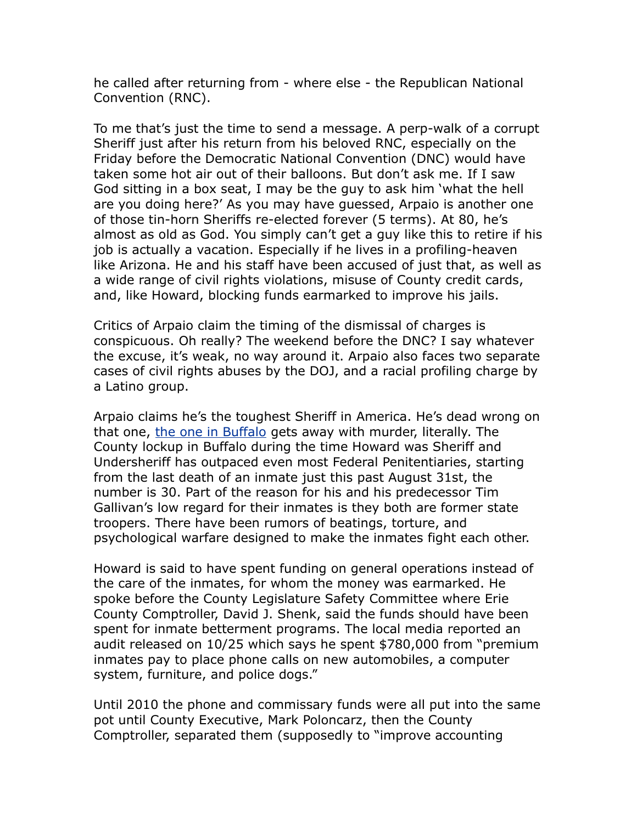he called after returning from - where else - the Republican National Convention (RNC).

To me that's just the time to send a message. A perp-walk of a corrupt Sheriff just after his return from his beloved RNC, especially on the Friday before the Democratic National Convention (DNC) would have taken some hot air out of their balloons. But don't ask me. If I saw God sitting in a box seat, I may be the guy to ask him 'what the hell are you doing here?' As you may have guessed, Arpaio is another one of those tin-horn Sheriffs re-elected forever (5 terms). At 80, he's almost as old as God. You simply can't get a guy like this to retire if his job is actually a vacation. Especially if he lives in a profiling-heaven like Arizona. He and his staff have been accused of just that, as well as a wide range of civil rights violations, misuse of County credit cards, and, like Howard, blocking funds earmarked to improve his jails.

Critics of Arpaio claim the timing of the dismissal of charges is conspicuous. Oh really? The weekend before the DNC? I say whatever the excuse, it's weak, no way around it. Arpaio also faces two separate cases of civil rights abuses by the DOJ, and a racial profiling charge by a Latino group.

Arpaio claims he's the toughest Sheriff in America. He's dead wrong on that one, [the one in Buffalo](http://www.youtube.com/watch?v=mkhpJndZVP0&feature=plcp) gets away with murder, literally. The County lockup in Buffalo during the time Howard was Sheriff and Undersheriff has outpaced even most Federal Penitentiaries, starting from the last death of an inmate just this past August 31st, the number is 30. Part of the reason for his and his predecessor Tim Gallivan's low regard for their inmates is they both are former state troopers. There have been rumors of beatings, torture, and psychological warfare designed to make the inmates fight each other.

Howard is said to have spent funding on general operations instead of the care of the inmates, for whom the money was earmarked. He spoke before the County Legislature Safety Committee where Erie County Comptroller, David J. Shenk, said the funds should have been spent for inmate betterment programs. The local media reported an audit released on 10/25 which says he spent \$780,000 from "premium inmates pay to place phone calls on new automobiles, a computer system, furniture, and police dogs."

Until 2010 the phone and commissary funds were all put into the same pot until County Executive, Mark Poloncarz, then the County Comptroller, separated them (supposedly to "improve accounting